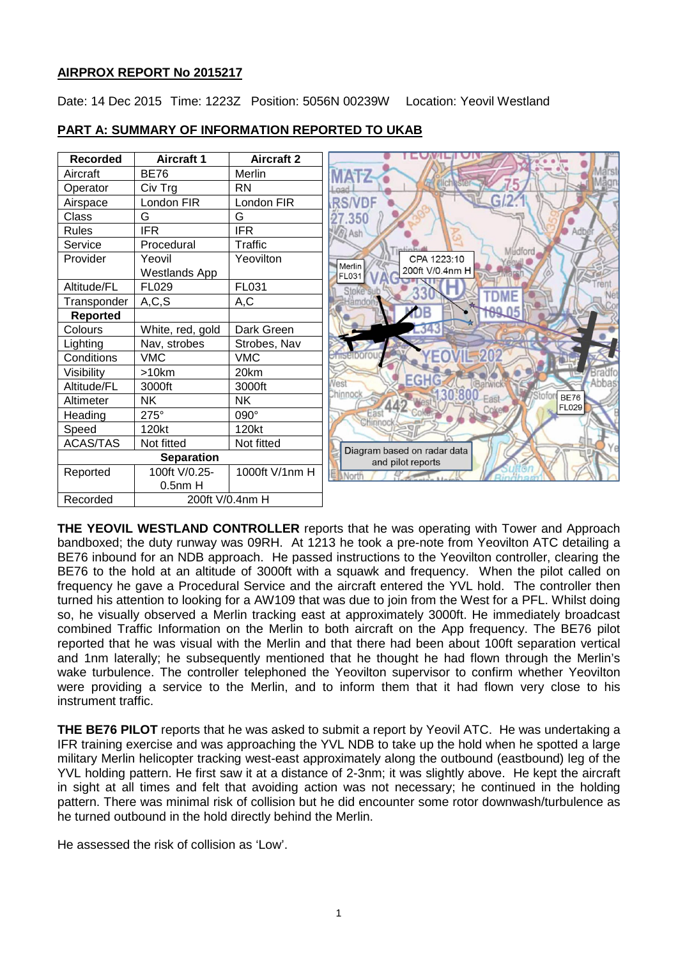# **AIRPROX REPORT No 2015217**

Date: 14 Dec 2015 Time: 1223Z Position: 5056N 00239W Location: Yeovil Westland



## **PART A: SUMMARY OF INFORMATION REPORTED TO UKAB**

**THE YEOVIL WESTLAND CONTROLLER** reports that he was operating with Tower and Approach bandboxed; the duty runway was 09RH. At 1213 he took a pre-note from Yeovilton ATC detailing a BE76 inbound for an NDB approach. He passed instructions to the Yeovilton controller, clearing the BE76 to the hold at an altitude of 3000ft with a squawk and frequency. When the pilot called on frequency he gave a Procedural Service and the aircraft entered the YVL hold. The controller then turned his attention to looking for a AW109 that was due to join from the West for a PFL. Whilst doing so, he visually observed a Merlin tracking east at approximately 3000ft. He immediately broadcast combined Traffic Information on the Merlin to both aircraft on the App frequency. The BE76 pilot reported that he was visual with the Merlin and that there had been about 100ft separation vertical and 1nm laterally; he subsequently mentioned that he thought he had flown through the Merlin's wake turbulence. The controller telephoned the Yeovilton supervisor to confirm whether Yeovilton were providing a service to the Merlin, and to inform them that it had flown very close to his instrument traffic.

**THE BE76 PILOT** reports that he was asked to submit a report by Yeovil ATC. He was undertaking a IFR training exercise and was approaching the YVL NDB to take up the hold when he spotted a large military Merlin helicopter tracking west-east approximately along the outbound (eastbound) leg of the YVL holding pattern. He first saw it at a distance of 2-3nm; it was slightly above. He kept the aircraft in sight at all times and felt that avoiding action was not necessary; he continued in the holding pattern. There was minimal risk of collision but he did encounter some rotor downwash/turbulence as he turned outbound in the hold directly behind the Merlin.

He assessed the risk of collision as 'Low'.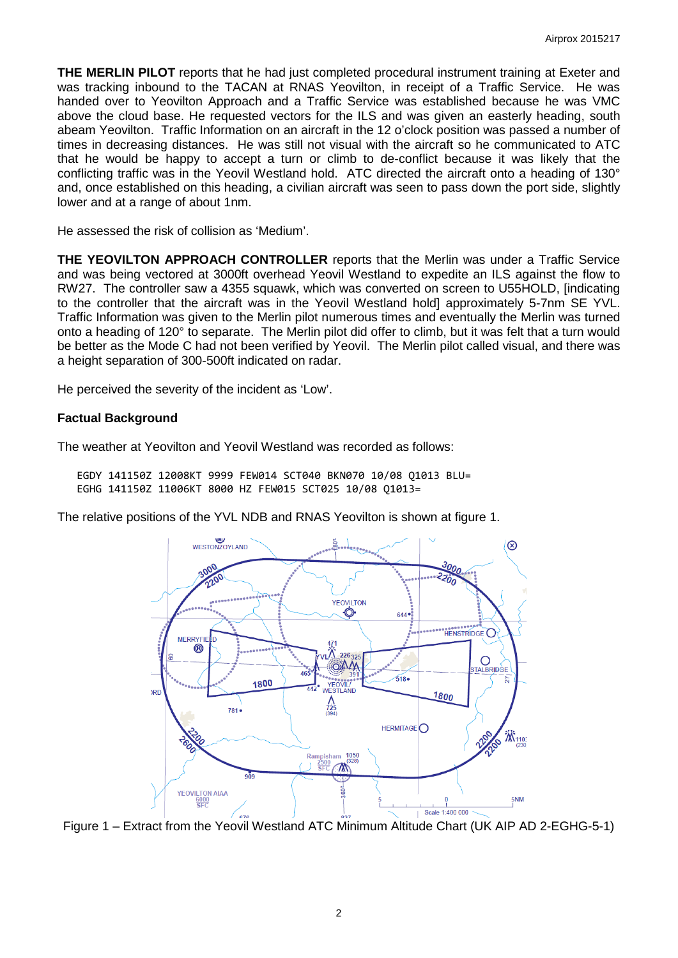**THE MERLIN PILOT** reports that he had just completed procedural instrument training at Exeter and was tracking inbound to the TACAN at RNAS Yeovilton, in receipt of a Traffic Service. He was handed over to Yeovilton Approach and a Traffic Service was established because he was VMC above the cloud base. He requested vectors for the ILS and was given an easterly heading, south abeam Yeovilton. Traffic Information on an aircraft in the 12 o'clock position was passed a number of times in decreasing distances. He was still not visual with the aircraft so he communicated to ATC that he would be happy to accept a turn or climb to de-conflict because it was likely that the conflicting traffic was in the Yeovil Westland hold. ATC directed the aircraft onto a heading of 130° and, once established on this heading, a civilian aircraft was seen to pass down the port side, slightly lower and at a range of about 1nm.

He assessed the risk of collision as 'Medium'.

**THE YEOVILTON APPROACH CONTROLLER** reports that the Merlin was under a Traffic Service and was being vectored at 3000ft overhead Yeovil Westland to expedite an ILS against the flow to RW27. The controller saw a 4355 squawk, which was converted on screen to U55HOLD, [indicating to the controller that the aircraft was in the Yeovil Westland hold] approximately 5-7nm SE YVL. Traffic Information was given to the Merlin pilot numerous times and eventually the Merlin was turned onto a heading of 120° to separate. The Merlin pilot did offer to climb, but it was felt that a turn would be better as the Mode C had not been verified by Yeovil. The Merlin pilot called visual, and there was a height separation of 300-500ft indicated on radar.

He perceived the severity of the incident as 'Low'.

## **Factual Background**

The weather at Yeovilton and Yeovil Westland was recorded as follows:

EGDY 141150Z 12008KT 9999 FEW014 SCT040 BKN070 10/08 Q1013 BLU= EGHG 141150Z 11006KT 8000 HZ FEW015 SCT025 10/08 Q1013=

The relative positions of the YVL NDB and RNAS Yeovilton is shown at figure 1.



Figure 1 – Extract from the Yeovil Westland ATC Minimum Altitude Chart (UK AIP AD 2-EGHG-5-1)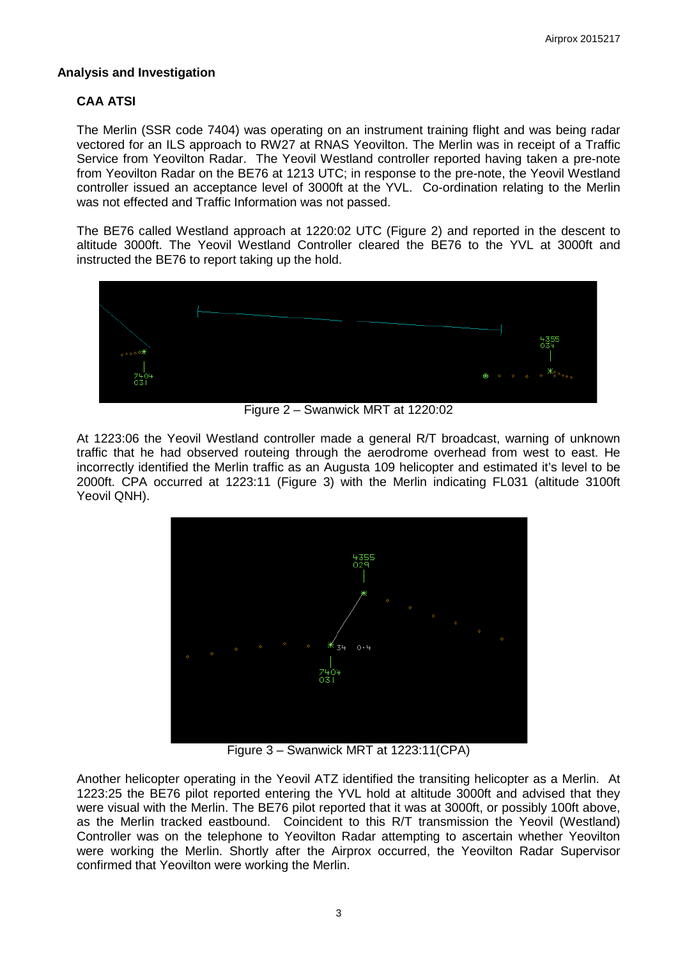# **Analysis and Investigation**

# **CAA ATSI**

The Merlin (SSR code 7404) was operating on an instrument training flight and was being radar vectored for an ILS approach to RW27 at RNAS Yeovilton. The Merlin was in receipt of a Traffic Service from Yeovilton Radar. The Yeovil Westland controller reported having taken a pre-note from Yeovilton Radar on the BE76 at 1213 UTC; in response to the pre-note, the Yeovil Westland controller issued an acceptance level of 3000ft at the YVL. Co-ordination relating to the Merlin was not effected and Traffic Information was not passed.

The BE76 called Westland approach at 1220:02 UTC (Figure 2) and reported in the descent to altitude 3000ft. The Yeovil Westland Controller cleared the BE76 to the YVL at 3000ft and instructed the BE76 to report taking up the hold.



Figure 2 – Swanwick MRT at 1220:02

At 1223:06 the Yeovil Westland controller made a general R/T broadcast, warning of unknown traffic that he had observed routeing through the aerodrome overhead from west to east. He incorrectly identified the Merlin traffic as an Augusta 109 helicopter and estimated it's level to be 2000ft. CPA occurred at 1223:11 (Figure 3) with the Merlin indicating FL031 (altitude 3100ft Yeovil QNH).



Figure 3 – Swanwick MRT at 1223:11(CPA)

Another helicopter operating in the Yeovil ATZ identified the transiting helicopter as a Merlin. At 1223:25 the BE76 pilot reported entering the YVL hold at altitude 3000ft and advised that they were visual with the Merlin. The BE76 pilot reported that it was at 3000ft, or possibly 100ft above, as the Merlin tracked eastbound. Coincident to this R/T transmission the Yeovil (Westland) Controller was on the telephone to Yeovilton Radar attempting to ascertain whether Yeovilton were working the Merlin. Shortly after the Airprox occurred, the Yeovilton Radar Supervisor confirmed that Yeovilton were working the Merlin.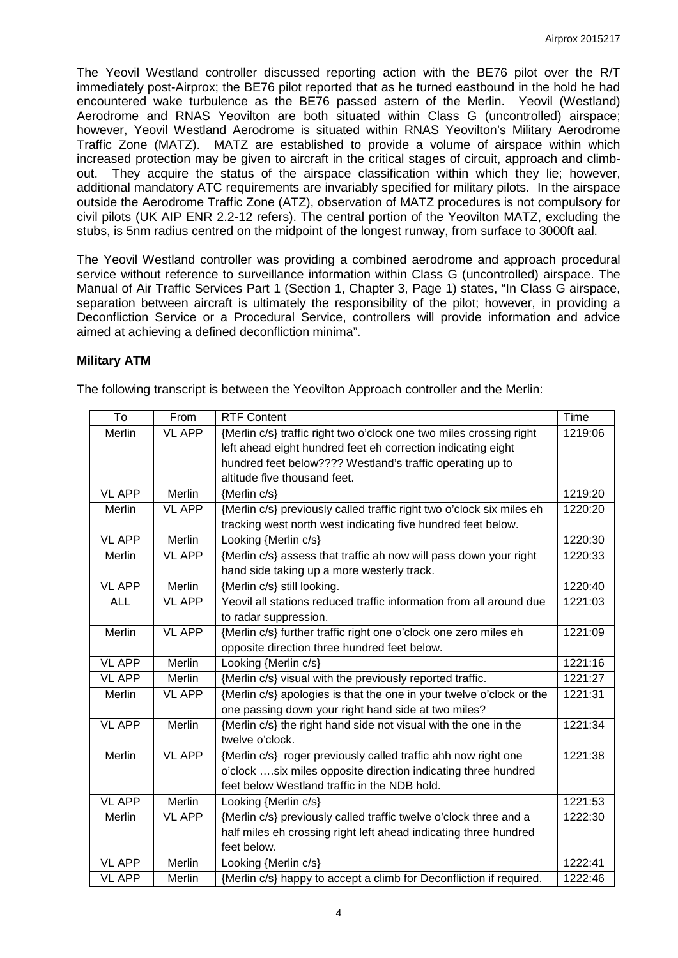The Yeovil Westland controller discussed reporting action with the BE76 pilot over the R/T immediately post-Airprox; the BE76 pilot reported that as he turned eastbound in the hold he had encountered wake turbulence as the BE76 passed astern of the Merlin. Yeovil (Westland) Aerodrome and RNAS Yeovilton are both situated within Class G (uncontrolled) airspace; however, Yeovil Westland Aerodrome is situated within RNAS Yeovilton's Military Aerodrome Traffic Zone (MATZ). MATZ are established to provide a volume of airspace within which increased protection may be given to aircraft in the critical stages of circuit, approach and climbout. They acquire the status of the airspace classification within which they lie; however, additional mandatory ATC requirements are invariably specified for military pilots. In the airspace outside the Aerodrome Traffic Zone (ATZ), observation of MATZ procedures is not compulsory for civil pilots (UK AIP ENR 2.2-12 refers). The central portion of the Yeovilton MATZ, excluding the stubs, is 5nm radius centred on the midpoint of the longest runway, from surface to 3000ft aal.

The Yeovil Westland controller was providing a combined aerodrome and approach procedural service without reference to surveillance information within Class G (uncontrolled) airspace. The Manual of Air Traffic Services Part 1 (Section 1, Chapter 3, Page 1) states, "In Class G airspace, separation between aircraft is ultimately the responsibility of the pilot; however, in providing a Deconfliction Service or a Procedural Service, controllers will provide information and advice aimed at achieving a defined deconfliction minima".

# **Military ATM**

The following transcript is between the Yeovilton Approach controller and the Merlin:

| To            | From          | <b>RTF Content</b>                                                    | Time    |
|---------------|---------------|-----------------------------------------------------------------------|---------|
| Merlin        | <b>VL APP</b> | {Merlin c/s} traffic right two o'clock one two miles crossing right   | 1219:06 |
|               |               | left ahead eight hundred feet eh correction indicating eight          |         |
|               |               | hundred feet below???? Westland's traffic operating up to             |         |
|               |               | altitude five thousand feet.                                          |         |
| <b>VL APP</b> | Merlin        | {Merlin c/s}                                                          | 1219:20 |
| Merlin        | <b>VL APP</b> | {Merlin c/s} previously called traffic right two o'clock six miles eh | 1220:20 |
|               |               | tracking west north west indicating five hundred feet below.          |         |
| <b>VL APP</b> | Merlin        | Looking {Merlin c/s}                                                  | 1220:30 |
| Merlin        | <b>VL APP</b> | {Merlin c/s} assess that traffic ah now will pass down your right     | 1220:33 |
|               |               | hand side taking up a more westerly track.                            |         |
| <b>VL APP</b> | Merlin        | {Merlin c/s} still looking.                                           | 1220:40 |
| <b>ALL</b>    | <b>VL APP</b> | Yeovil all stations reduced traffic information from all around due   | 1221:03 |
|               |               | to radar suppression.                                                 |         |
| Merlin        | <b>VL APP</b> | {Merlin c/s} further traffic right one o'clock one zero miles eh      | 1221:09 |
|               |               | opposite direction three hundred feet below.                          |         |
| <b>VL APP</b> | Merlin        | Looking {Merlin c/s}                                                  | 1221:16 |
| <b>VL APP</b> | <b>Merlin</b> | {Merlin c/s} visual with the previously reported traffic.             | 1221:27 |
| Merlin        | VL APP        | {Merlin c/s} apologies is that the one in your twelve o'clock or the  | 1221:31 |
|               |               | one passing down your right hand side at two miles?                   |         |
| <b>VL APP</b> | Merlin        | {Merlin c/s} the right hand side not visual with the one in the       | 1221:34 |
|               |               | twelve o'clock.                                                       |         |
| Merlin        | <b>VL APP</b> | {Merlin c/s} roger previously called traffic ahh now right one        | 1221:38 |
|               |               | o'clock  six miles opposite direction indicating three hundred        |         |
|               |               | feet below Westland traffic in the NDB hold.                          |         |
| <b>VL APP</b> | Merlin        | Looking {Merlin c/s}                                                  | 1221:53 |
| Merlin        | <b>VL APP</b> | {Merlin c/s} previously called traffic twelve o'clock three and a     | 1222:30 |
|               |               | half miles eh crossing right left ahead indicating three hundred      |         |
|               |               | feet below.                                                           |         |
| <b>VL APP</b> | Merlin        | Looking {Merlin c/s}                                                  | 1222:41 |
| <b>VL APP</b> | Merlin        | {Merlin c/s} happy to accept a climb for Deconfliction if required.   | 1222:46 |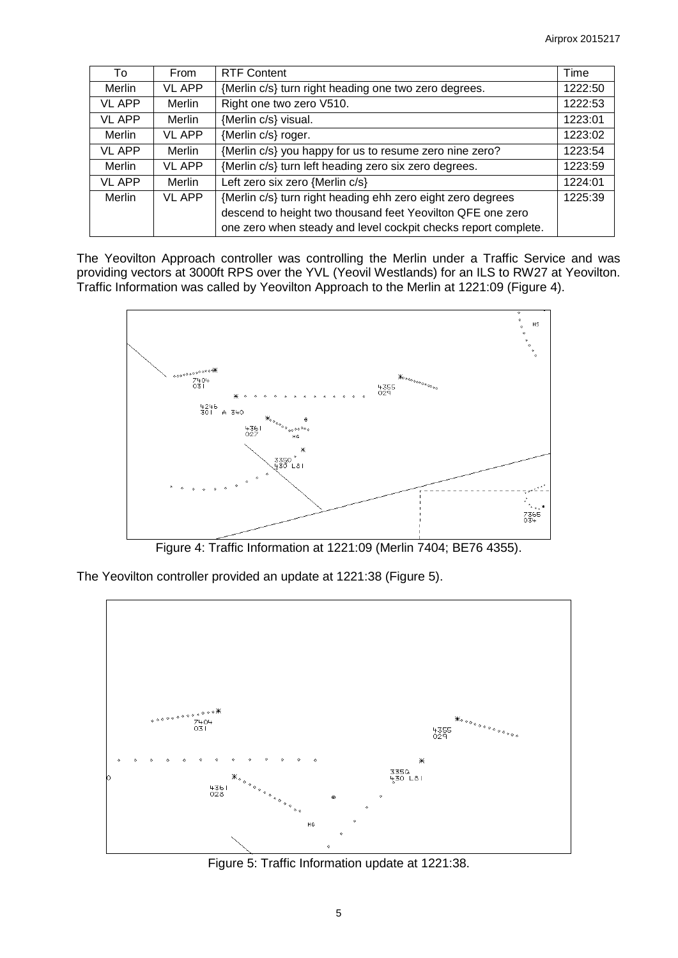| To            | From          | <b>RTF Content</b>                                             | Time    |
|---------------|---------------|----------------------------------------------------------------|---------|
| Merlin        | <b>VL APP</b> | {Merlin c/s} turn right heading one two zero degrees.          | 1222:50 |
| <b>VL APP</b> | Merlin        | Right one two zero V510.                                       | 1222:53 |
| <b>VL APP</b> | Merlin        | {Merlin c/s} visual.                                           | 1223:01 |
| Merlin        | <b>VL APP</b> | {Merlin c/s} roger.                                            | 1223:02 |
| <b>VL APP</b> | Merlin        | {Merlin c/s} you happy for us to resume zero nine zero?        | 1223:54 |
| Merlin        | <b>VL APP</b> | {Merlin c/s} turn left heading zero six zero degrees.          | 1223:59 |
| <b>VL APP</b> | Merlin        | Left zero six zero {Merlin c/s}                                | 1224:01 |
| Merlin        | <b>VL APP</b> | {Merlin c/s} turn right heading ehh zero eight zero degrees    | 1225:39 |
|               |               | descend to height two thousand feet Yeovilton QFE one zero     |         |
|               |               | one zero when steady and level cockpit checks report complete. |         |

The Yeovilton Approach controller was controlling the Merlin under a Traffic Service and was providing vectors at 3000ft RPS over the YVL (Yeovil Westlands) for an ILS to RW27 at Yeovilton. Traffic Information was called by Yeovilton Approach to the Merlin at 1221:09 (Figure 4).



Figure 4: Traffic Information at 1221:09 (Merlin 7404; BE76 4355).

The Yeovilton controller provided an update at 1221:38 (Figure 5).



Figure 5: Traffic Information update at 1221:38.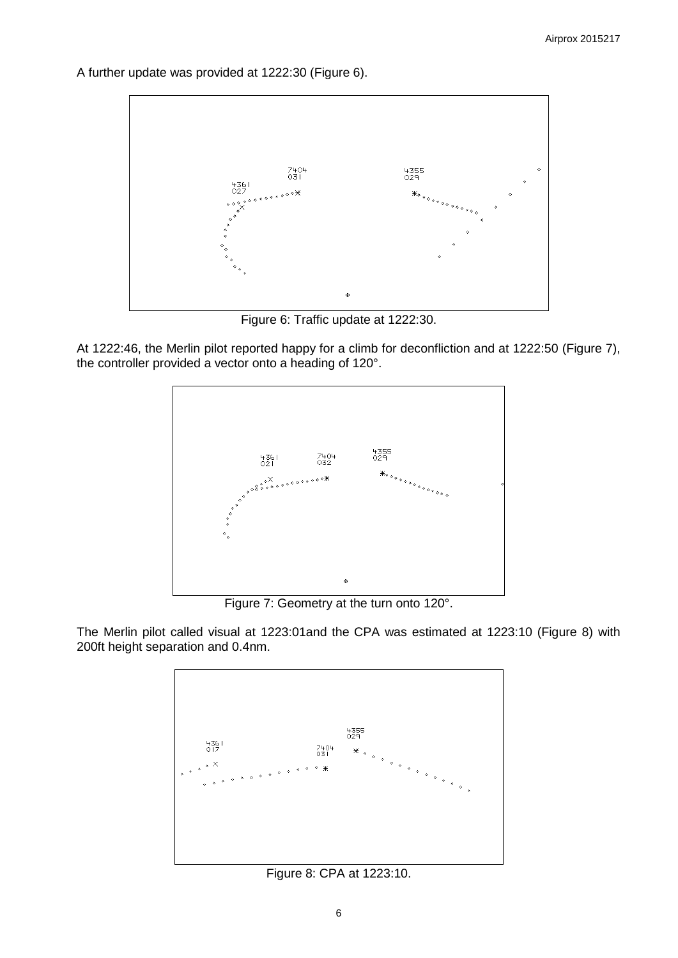A further update was provided at 1222:30 (Figure 6).



Figure 6: Traffic update at 1222:30.

At 1222:46, the Merlin pilot reported happy for a climb for deconfliction and at 1222:50 (Figure 7), the controller provided a vector onto a heading of 120°.



Figure 7: Geometry at the turn onto 120°.

The Merlin pilot called visual at 1223:01and the CPA was estimated at 1223:10 (Figure 8) with 200ft height separation and 0.4nm.



Figure 8: CPA at 1223:10.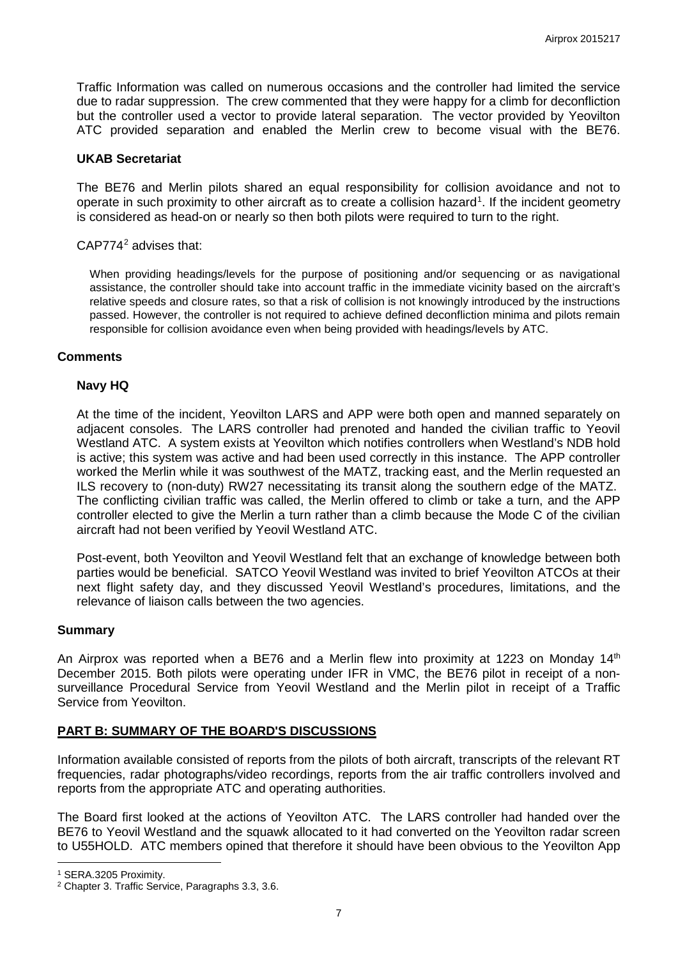Traffic Information was called on numerous occasions and the controller had limited the service due to radar suppression. The crew commented that they were happy for a climb for deconfliction but the controller used a vector to provide lateral separation. The vector provided by Yeovilton ATC provided separation and enabled the Merlin crew to become visual with the BE76.

## **UKAB Secretariat**

The BE76 and Merlin pilots shared an equal responsibility for collision avoidance and not to operate in such proximity to other aircraft as to create a collision hazard<sup>[1](#page-6-0)</sup>. If the incident geometry is considered as head-on or nearly so then both pilots were required to turn to the right.

## CAP774[2](#page-6-1) advises that:

When providing headings/levels for the purpose of positioning and/or sequencing or as navigational assistance, the controller should take into account traffic in the immediate vicinity based on the aircraft's relative speeds and closure rates, so that a risk of collision is not knowingly introduced by the instructions passed. However, the controller is not required to achieve defined deconfliction minima and pilots remain responsible for collision avoidance even when being provided with headings/levels by ATC.

## **Comments**

## **Navy HQ**

At the time of the incident, Yeovilton LARS and APP were both open and manned separately on adjacent consoles. The LARS controller had prenoted and handed the civilian traffic to Yeovil Westland ATC. A system exists at Yeovilton which notifies controllers when Westland's NDB hold is active; this system was active and had been used correctly in this instance. The APP controller worked the Merlin while it was southwest of the MATZ, tracking east, and the Merlin requested an ILS recovery to (non-duty) RW27 necessitating its transit along the southern edge of the MATZ. The conflicting civilian traffic was called, the Merlin offered to climb or take a turn, and the APP controller elected to give the Merlin a turn rather than a climb because the Mode C of the civilian aircraft had not been verified by Yeovil Westland ATC.

Post-event, both Yeovilton and Yeovil Westland felt that an exchange of knowledge between both parties would be beneficial. SATCO Yeovil Westland was invited to brief Yeovilton ATCOs at their next flight safety day, and they discussed Yeovil Westland's procedures, limitations, and the relevance of liaison calls between the two agencies.

#### **Summary**

An Airprox was reported when a BE76 and a Merlin flew into proximity at 1223 on Monday 14<sup>th</sup> December 2015. Both pilots were operating under IFR in VMC, the BE76 pilot in receipt of a nonsurveillance Procedural Service from Yeovil Westland and the Merlin pilot in receipt of a Traffic Service from Yeovilton.

# **PART B: SUMMARY OF THE BOARD'S DISCUSSIONS**

Information available consisted of reports from the pilots of both aircraft, transcripts of the relevant RT frequencies, radar photographs/video recordings, reports from the air traffic controllers involved and reports from the appropriate ATC and operating authorities.

The Board first looked at the actions of Yeovilton ATC. The LARS controller had handed over the BE76 to Yeovil Westland and the squawk allocated to it had converted on the Yeovilton radar screen to U55HOLD. ATC members opined that therefore it should have been obvious to the Yeovilton App

l

<span id="page-6-0"></span><sup>1</sup> SERA.3205 Proximity.

<span id="page-6-1"></span><sup>2</sup> Chapter 3. Traffic Service, Paragraphs 3.3, 3.6.